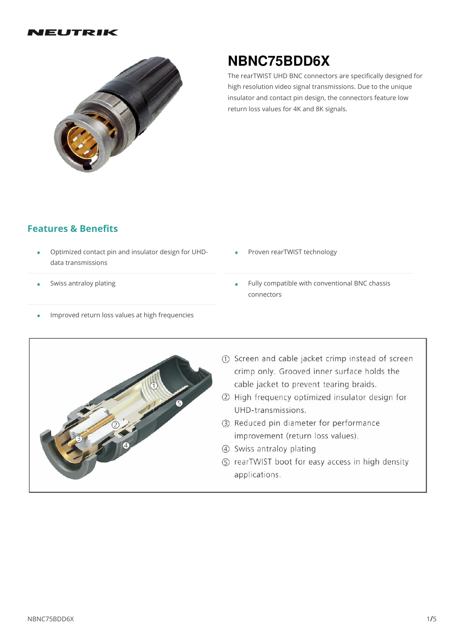#### IEUTRIK



# **NBNC75BDD6X**

The rearTWIST UHD BNC connectors are specifically designed for high resolution video signal transmissions. Due to the unique insulator and contact pin design, the connectors feature low return loss values for 4K and 8K signals.

#### **Features & Benefits**

- Optimized contact pin and insulator design for UHD- data transmissions •
- Swiss antraloy plating
- Proven rearTWIST technology •
- Fully compatible with conventional BNC chassis connectors •
- Improved return loss values at high frequencies •



- 1) Screen and cable jacket crimp instead of screen crimp only. Grooved inner surface holds the cable jacket to prevent tearing braids.
- 2 High frequency optimized insulator design for UHD-transmissions.
- 3) Reduced pin diameter for performance improvement (return loss values).
- 4 Swiss antraloy plating
- (5) rearTWIST boot for easy access in high density applications.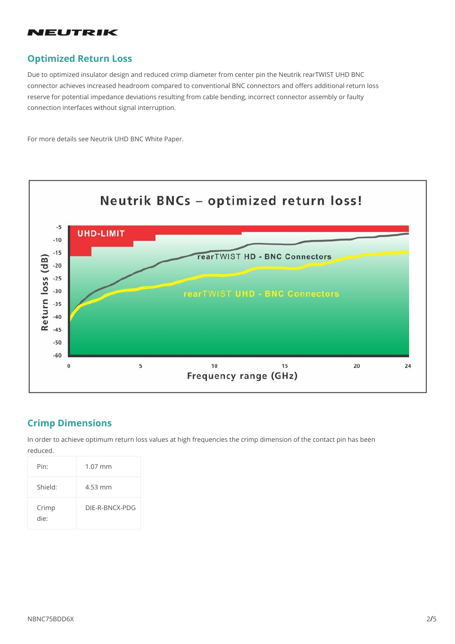

#### **Optimized Return Loss**

Due to optimized insulator design and reduced crimp diameter from center pin the Neutrik rearTWIST UHD BNC connector achieves increased headroom compared to conventional BNC connectors and offers additional return loss reserve for potential impedance deviations resulting from cable bending, incorrect connector assembly or faulty connection interfaces without signal interruption.

For more details see Neutrik UHD BNC White Paper.



## **Crimp Dimensions**

In order to achieve optimum return loss values at high frequencies the crimp dimension of the contact pin has been reduced.

| Pin:          | $1.07$ mm      |  |
|---------------|----------------|--|
| Shield:       | 4.53 mm        |  |
| Crimp<br>die: | DIE-R-BNCX-PDG |  |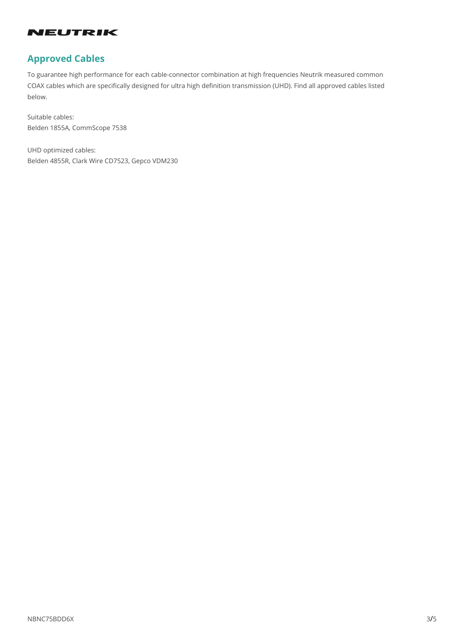

## **Approved Cables**

To guarantee high performance for each cable-connector combination at high frequencies Neutrik measured common COAX cables which are specifically designed for ultra high definition transmission (UHD). Find all approved cables listed below.

Suitable cables: Belden 1855A, CommScope 7538

UHD optimized cables: Belden 4855R, Clark Wire CD7523, Gepco VDM230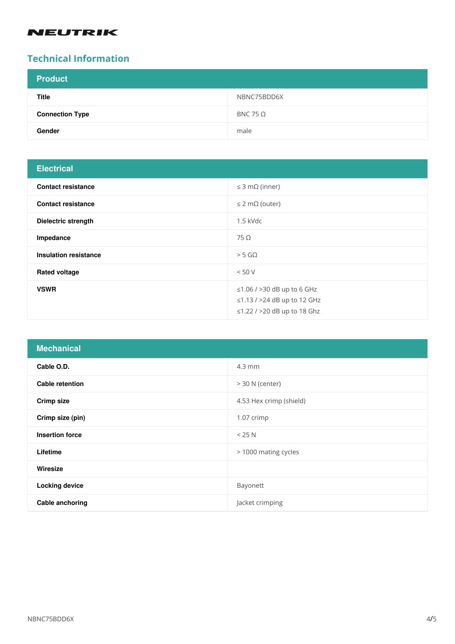## **NEUTRIK**

## **Technical Information**

| <b>Product</b>         |                 |
|------------------------|-----------------|
| <b>Title</b>           | NBNC75BDD6X     |
| <b>Connection Type</b> | BNC 75 $\Omega$ |
| Gender                 | male            |

#### **Electrical**

| ----------                   |                                                                                                |
|------------------------------|------------------------------------------------------------------------------------------------|
| <b>Contact resistance</b>    | $\leq$ 3 m $\Omega$ (inner)                                                                    |
| <b>Contact resistance</b>    | $\leq$ 2 m $\Omega$ (outer)                                                                    |
| <b>Dielectric strength</b>   | $1.5$ kVdc                                                                                     |
| Impedance                    | $75\Omega$                                                                                     |
| <b>Insulation resistance</b> | $>$ 5 G $\Omega$                                                                               |
| <b>Rated voltage</b>         | < 50 V                                                                                         |
| <b>VSWR</b>                  | $\leq$ 1.06 / >30 dB up to 6 GHz<br>≤1.13 / >24 dB up to 12 GHz<br>≤1.22 / >20 dB up to 18 Ghz |

| <b>Mechanical</b>      |                         |
|------------------------|-------------------------|
| Cable O.D.             | $4.3 \text{ mm}$        |
| <b>Cable retention</b> | $>$ 30 N (center)       |
| <b>Crimp size</b>      | 4.53 Hex crimp (shield) |
| Crimp size (pin)       | 1.07 crimp              |
| <b>Insertion force</b> | < 25 N                  |
| Lifetime               | > 1000 mating cycles    |
| Wiresize               |                         |
| <b>Locking device</b>  | Bayonett                |
| Cable anchoring        | Jacket crimping         |